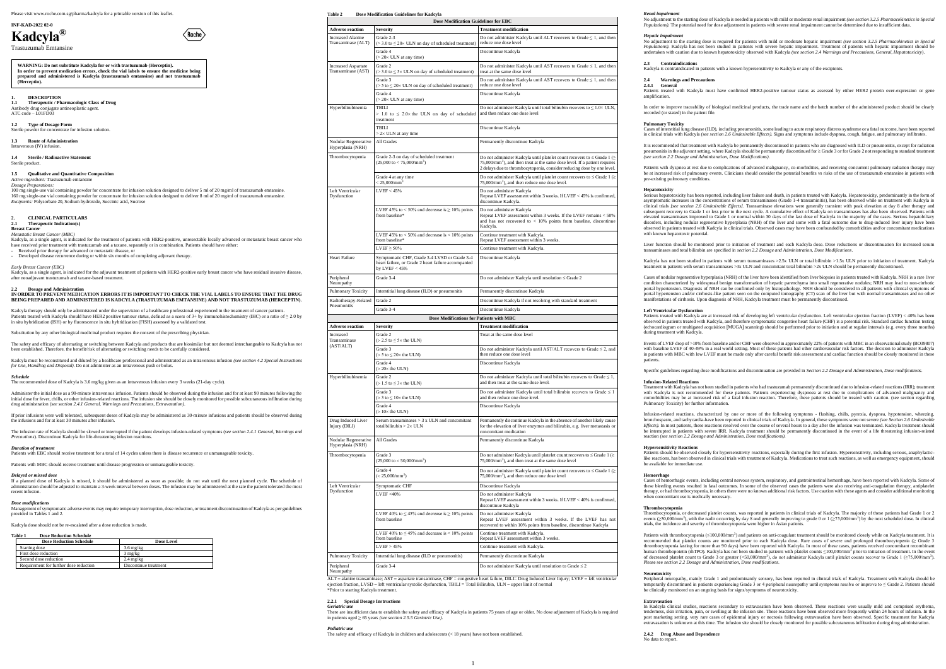No adjustment to the starting dose of Kadcyla is needed in patients with mild or moderate renal impairment (see section 3.2.5 Pharmacokinetics in Special<br>Populations). The potential need for dose adjustment in patients wit

#### **INF-KAD-2022 02-0**

# **Kadcyla®**

Trastuzumab Emtansine

**1.2 Type of Dosage Form** Sterile powder for concentrate for infusion solution.

## **1. DESCRIPTION**

**1.1 Therapeutic / Pharmacologic Class of Drug** Antibody drug conjugate antineoplastic agent. ATC code – L01FD03

**1.3 Route of Administration** Intravenous (IV) infusion.

**1.4 Sterile / Radioactive Statement** Sterile product.

 $\omega_{\text{out}}$  is replease vial containing powder for concentrate for infusion solution designed to deliver 5 ml of 20 mg/ml of trastuzumab emtansine. 160 mg single-use vial containing powder for concentrate for infusion solution designed to deliver 8 ml of 20 mg/ml of trastuzumab emtansine. *Excipients:* Polysorbate 20, Sodium hydroxide, Succinic acid, Sucrose

 $\langle$  Roche $\rangle$ 

## **1.5 Qualitative and Quantitative Composition**

*Active ingredient:* Trastuzumab emtansine *Dosage Preparations:*

## **2. CLINICAL PARTICULARS**

**2.1 Therapeutic Indication(s) Breast Cancer** 

#### *Metastatic Breast Cancer (MBC)*

Kadcyla, as a single agent, is indicated for the treatment of patients with HER2-positive, unresectable locally advanced or metastatic breast cancer who have received prior treatment with trastuzumab and a taxane, separately or in combination. Patients should have either:

Received prior therapy for advanced or metastatic disease, or

Kadcyla must be reconstituted and diluted by a healthcare professional and administrated as an intravenous infusion *(see section 4.2 Special Instructions for Use, Handling and Disposal).* Do not administer as an intravenous push or bolus

- Developed disease recurrence during or within six months of completing adjuvant therapy.

*Early Breast Cancer (EBC)*

Kadcyla, as a single agent, is indicated for the adjuvant treatment of patients with HER2-positive early breast cancer who have residual invasive disease, after neoadjuvant trastuzumab and taxane-based treatment.

### **Dosage and Administration**

**IN ORDER TO PREVENT MEDICATION ERRORS IT IS IMPORTANT TO CHECK THE VIAL LABELS TO ENSURE THAT THE DRUG BEING PREPARED AND ADMINISTERED IS KADCYLA (TRASTUZUMAB EMTANSINE) AND NOT TRASTUZUMAB (HERCEPTIN).**

Kadcyla therapy should only be administered under the supervision of a healthcare professional experienced in the treatment of cancer patient Patients treated with Kadcyla should have HER2 positive tumour status, defined as a score of 3+ by immunohistochemistry (IHC) or a ratio of ≥ 2.0 by<br>in situ hybridization (ISH) or by fluorescence in situ hybridization (FI

The infusion rate of Kadcyla should be slowed or interrupted if the patient develops infusion-related symptoms (*see section 2.4.1 General, Warnings and Precautions*). Discontinue Kadcyla for life-threatening infusion reactions.

Substitution by any other biological medicinal product requires the consent of the prescribing physician.

The safety and efficacy of alternating or switching between Kadcyla and products that are biosimilar but not deemed interchangeable to Kadcyla has not been established. Therefore, the benefit/risk of alternating or switching needs to be carefully considered.

### *Schedule*

The recommended dose of Kadcyla is 3.6 mg/kg given as an intravenous infusion every 3 weeks (21-day cycle).

Administer the initial dose as a 90-minute intravenous infusion. Patients should be observed during the infusion and for at least 90 minutes following the initial dose for fever, chills, or other infusion-related reactions. The infusion site should be closely monitored for possible subcutaneous infiltration during drug administration *(see section 2.4.1 General, Warnings and Precautions, Extravasation)*.

If prior infusions were well tolerated, subsequent doses of Kadcyla may be administered as 30-minute infusions and patients should be observed during the infusions and for at least 30 minutes after infusion.

*Duration of treatment* Patients with EBC should receive treatment for a total of 14 cycles unless there is disease recurrence or unmanageable toxicity.

Patients with MBC should receive treatment until disease progression or unmanageable toxicity.

## *Delayed or missed dose*

If a planned dose of Kadcyla is missed, it should be administered as soon as possible; do not wait until the next planned cycle. The schedule of administration should be adjusted to maintain a 3-week interval between doses. The infusion may be administered at the rate the patient tolerated the most recent infusion.

#### *Dose modifications*

Management of symptomatic adverse events may require temporary interruption, dose reduction, or treatment discontinuation of Kadcyla as per guidelines provided in Tables 1 and 2.

Kadcyla dose should not be re-escalated after a dose reduction is made.

## **Table 1 Dose Reduction Schedule**

Peripheral europathy

| <b>Dose Reduction Schedule</b>         | Dose Level             |
|----------------------------------------|------------------------|
| Starting dose                          | $3.6 \,\mathrm{mg/kg}$ |
| First dose reduction                   | $3 \text{ mg/kg}$      |
| Second dose reduction                  | $2.4 \text{ mg/kg}$    |
| Requirement for further dose reduction | Discontinue treatment  |

#### **Table 2 Dose Modification Guidelines for Kadcyla Dose Modification Guidelines for EBC**

\*Prior to starting Kadcyla treatment. **2.2.1 Special Dosage Instructions** 

## **2.4 Warnings and Precaution 2.4.1 General** amplification.

Cases of interstitial lung disease (ILD), including pneumonitis, some leading to acute respiratory distress syndrome or a fatal outcome, have been reported in clinical trials with Kadcyla (see section 2.6 *Undesirable Effects*). Signs and symptoms include dyspnea, cough, fatigue, and pulmonary infiltration

**Hepatotoxicity**  Serious hepatotoxicity has been reported, including liver failure and death, in patients treated with Kadcyla. Hepatotoxicity, predominantly in the form of asymptomatic increases in the concentrations of serum transaminases (Grade 1-4 transaminitis), has been observed while on treatment with Kadcyla in clinical trials *[see section 2.6 Undesirable Effects]*. Transaminase elevations were generally transient with peak elevation at day 8 after therapy and subsequent recovery to Grade 1 or less prior to the next cycle. A cumulative effect of Kadcyla on transaminases has also been observed. Patients with<br>elevated transaminases improved to Grade 1 or normal within 30 days of t disorders, including nodular regenerative hyperplasia (NRH) of the liver and some with a fatal outcome due to drug-induced liver injury have been<br>observed in patients treated with Kadcyla in clinical trials. Observed cases

| <b>Adverse reaction</b>                          | Severity                                                                                                               | <b>Treatment modification</b>                                                                                                                                                                                                                      |
|--------------------------------------------------|------------------------------------------------------------------------------------------------------------------------|----------------------------------------------------------------------------------------------------------------------------------------------------------------------------------------------------------------------------------------------------|
| <b>Increased Alanine</b><br>Transaminase (ALT)   | Grade 2-3<br>$(>3.0 \text{ to } \leq 20 \times \text{ULN} \text{ on day of scheduled treatment})$                      | Do not administer Kadcyla until ALT recovers to Grade $\leq 1$ , and then<br>reduce one dose level                                                                                                                                                 |
|                                                  | Grade 4<br>$(>20\times$ ULN at any time)                                                                               | Discontinue Kadcyla                                                                                                                                                                                                                                |
| <b>Increased Aspartate</b><br>Transaminase (AST) | Grade 2<br>$(>3.0 \text{ to } \leq 5 \times \text{ULN}$ on day of scheduled treatment)                                 | Do not administer Kadcyla until AST recovers to Grade $\leq 1$ , and then<br>treat at the same dose level                                                                                                                                          |
|                                                  | Grade 3<br>( $> 5$ to $\leq 20 \times$ ULN on day of scheduled treatment)                                              | Do not administer Kadcyla until AST recovers to Grade $\leq 1$ , and then<br>reduce one dose level                                                                                                                                                 |
|                                                  | Grade 4<br>$(>20\times$ ULN at any time)                                                                               | Discontinue Kadcyla                                                                                                                                                                                                                                |
| Hyperbilirubinemia                               | TBILI<br>$> 1.0$ to $\leq 2.0 \times$ the ULN on day of scheduled<br>treatment                                         | Do not administer Kadcyla until total bilirubin recovers to $\leq 1.0 \times$ ULN,<br>and then reduce one dose level                                                                                                                               |
|                                                  | TBILI<br>$> 2 \times$ ULN at any time                                                                                  | Discontinue Kadcyla                                                                                                                                                                                                                                |
| Nodular Regenerative<br>Hyperplasia (NRH)        | All Grades                                                                                                             | Permanently discontinue Kadcyla                                                                                                                                                                                                                    |
| Thrombocytopenia                                 | Grade 2-3 on day of scheduled treatment<br>$(25,000 \text{ to} < 75,000/\text{mm}^3)$                                  | Do not administer Kadcyla until platelet count recovers to $\leq$ Grade 1 $\geq$<br>$75,000/\text{mm}^3$ ), and then treat at the same dose level. If a patient requires<br>2 delays due to thrombocytopenia, consider reducing dose by one level. |
|                                                  | Grade 4 at any time<br>$< 25,000/\text{mm}^3$                                                                          | Do not administer Kadcyla until platelet count recovers to $\leq$ Grade 1 ( $\geq$<br>75,000/mm <sup>3</sup> ), and then reduce one dose level.                                                                                                    |
| Left Ventricular<br>Dysfunction                  | $LVEF < 45\%$                                                                                                          | Do not administer Kadcyla<br>Repeat LVEF assessment within 3 weeks. If LVEF < 45% is confirmed,<br>discontinue Kadcyla.                                                                                                                            |
|                                                  | LVEF 45% to < 50% and decrease is $\geq$ 10% points<br>from baseline*                                                  | Do not administer Kadcyla<br>Repeat LVEF assessment within 3 weeks. If the LVEF remains < 50%<br>and has not recovered to $< 10\%$ points from baseline, discontinue<br>Kadcyla.                                                                   |
|                                                  | LVEF 45% to $<$ 50% and decrease is $<$ 10% points<br>from baseline*                                                   | Continue treatment with Kadcyla.<br>Repeat LVEF assessment within 3 weeks.                                                                                                                                                                         |
|                                                  | $LVEF \geq 50\%$                                                                                                       | Continue treatment with Kadcyla.                                                                                                                                                                                                                   |
| <b>Heart Failure</b>                             | Symptomatic CHF, Grade 3-4 LVSD or Grade 3-4<br>heart failure, or Grade 2 heart failure accompanied<br>by $LVEF < 45%$ | Discontinue Kadcyla                                                                                                                                                                                                                                |
| Peripheral<br>Neuropathy                         | Grade 3-4                                                                                                              | Do not administer Kadcyla until resolution ≤ Grade 2                                                                                                                                                                                               |
| Pulmonary Toxicity                               | Interstitial lung disease (ILD) or pneumonitis                                                                         | Permanently discontinue Kadcyla                                                                                                                                                                                                                    |
| Radiotherapy-Related                             | Grade 2                                                                                                                | Discontinue Kadcyla if not resolving with standard treatment                                                                                                                                                                                       |
| Pneumonitis                                      | Grade 3-4                                                                                                              | Discontinue Kadcyla                                                                                                                                                                                                                                |
|                                                  | Dose Modifications for Patients with MBC                                                                               |                                                                                                                                                                                                                                                    |
| <b>Adverse reaction</b>                          | Severity                                                                                                               | <b>Treatment modification</b>                                                                                                                                                                                                                      |
| Increased<br>Transaminase                        | Grade 2<br>$(> 2.5 \text{ to } \leq 5 \times \text{ the ULN})$                                                         | Treat at the same dose level                                                                                                                                                                                                                       |
| (AST/ALT)                                        | Grade 3<br>( $> 5$ to $\leq 20 \times$ the ULN)                                                                        | Do not administer Kadcyla until AST/ALT recovers to Grade $\leq$ 2, and<br>then reduce one dose level                                                                                                                                              |
|                                                  | Grade 4<br>$(>20\times$ the ULN)                                                                                       | Discontinue Kadcyla                                                                                                                                                                                                                                |
| Hyperbilirubinemia                               | Grade 2<br>$(> 1.5 \text{ to } \leq 3 \times \text{ the } \text{ULN})$                                                 | Do not administer Kadcyla until total bilirubin recovers to Grade $\leq 1$ ,<br>and then treat at the same dose level.                                                                                                                             |
|                                                  | Grade 3<br>( $>$ 3 to $\leq$ 10 $\times$ the ULN)                                                                      | Do not administer Kadcyla until total bilirubin recovers to Grade $\leq 1$<br>and then reduce one dose level.                                                                                                                                      |
|                                                  | Grade 4<br>$(>10\times$ the ULN)                                                                                       | Discontinue Kadcyla                                                                                                                                                                                                                                |
| Drug Induced Liver<br>Injury (DILI)              | Serum transaminases $> 3$ x ULN and concomitant<br>total bilirubin $> 2 \times$ ULN                                    | Permanently discontinue Kadcyla in the absence of another likely cause<br>for the elevation of liver enzymes and bilirubin, e.g. liver metastasis or<br>concomitant medication                                                                     |
| Nodular Regenerative<br>Hyperplasia (NRH)        | All Grades                                                                                                             | Permanently discontinue Kadcyla                                                                                                                                                                                                                    |
| Thrombocytopenia                                 | Grade 3<br>$(25,000 \text{ to } 50,000/\text{mm}^3)$                                                                   | Do not administer Kadcyla until platelet count recovers to $\leq$ Grade 1 ( $\geq$<br>$75,000/\text{mm}^3$ , and then treat at the same dose level                                                                                                 |
|                                                  | Grade 4<br>$(< 25,000/\text{mm}^3)$                                                                                    | Do not administer Kadcyla until platelet count recovers to $\leq$ Grade 1 ( $\geq$<br>$75,000/\text{mm}^3$ ), and then reduce one dose level                                                                                                       |

**Hemorrhage** Cases of hemorrhagic events, including central nervous system, respiratory, and gastrointestinal hemorrhage, have been reported with Kadcyla. Some of these bleeding events resulted in fatal outcomes. In some of the observed cases the patients were also receiving anti-coagulation therapy, antiplatelet therapy, or had thrombocytopenia, in others there were no known additional risk factors. Use caution with these agents and consider additional monitoring when concomitant use is medically necessary.

Left Ventricular Dysfunction

Symptomatic CHF Discontinue Kadcyla LVEF <40% Do not administer Kadcyla

from baseline

Do not administer Kadcyla

from baseline

Continue treatment with Kadcyla. Repeat LVEF assessment within 3 weeks.

LVEF > 45% Continue treatment with Kadcyla.

Grade 3-4 Do not administer Kadcyla until resolution to Grade  $\leq 2$ 

ALT = alanine transaminase; AST = aspartate transaminase, CHF = congestive heart failure, DILI= Drug Induced Liver Injury; LVEF = left ventricular<br>ejection fraction, LVSD = left ventricular systolic dysfunction, TBILI = To

Pulmonary Toxicity Interstitial lung disease (ILD or pneumonitis) Permanently discontinue Kadcyla

Patients with thrombocytopenia (≤100,000/mm<sup>3</sup>) and patients on anti-coagulant treatment should be monitored closely while on Kadcyla treatment. It is recommended that platelet counts are monitored prior to each Kadcyla dose. Rare cases of severe and prolonged thrombocytopenia (≥ Grade 3<br>thrombocytopenia lasting for more than 90 days) have been reported with Kadcyla. In human thrombopoietin (rhTPO). Kadcyla has not been studied in patients with platelet counts  $\leq 100,000/\text{mm}^3$  prior to initiation of treatment. In the event of decreased platelet count to Grade 3 or greater (<50,000/mm<sup>3</sup>), do not administer Kadcyla until platelet counts recover to Grade 1 (≥75,000/mm<sup>3</sup>). Please see *section 2.2 Dosage and Administration, Dose modifications*.

Peripheral neuropathy, mainly Grade 1 and predominantly sensory, has been reported in clinical trials of Kadcyla. Treatment with Kadcyla should be<br>temporarily discontinued in patients experiencing Grade 3 or 4 peripheral be clinically monitored on an ongoing basis for signs/symptoms of neurotoxicity.

**2.4.2 Drug Abuse and Dependence** No data to repor

*Pediatric use*

The safety and efficacy of Kadcyla in children and adolescents (< 18 years) have not been established.

LVEF 40% to  $\leq$  45% and decrease is  $\geq$  10% points

LVEF 40% to  $\leq$  45% and decrease is  $\leq$  10% points

*Renal impairment*

# *Hepatic impairment*

No adjustment to the starting dose is required for patients with mild or moderate hepatic impairment *(see section 3.2.5 Pharmacokinetics in Special Populations)*. Kadcyla has not been studied in patients with severe hepatic impairment. Treatment of patients with hepatic impairment show undertaken with caution due to known hepatotoxicity observed with Kadcyla *(see section 2.4 Warnings and Precautions, General, Hepatotoxicity*).

**2.3 Contraindications**

Kadcyla is contraindicated in patients with a known hypersensitivity to Kadcyla or any of the excipients.

Patients treated with Kadcyla must have confirmed HER2-positive tumour status as assessed by either HER2 protein over-expression or gene

In order to improve traceability of biological medicinal products, the trade name and the batch number of the administered product should be clearly

Patients with dyspnea at rest due to complications of advanced malignancy, co-morbidities, and receiving concurrent pulmonary radiation therapy may<br>be at increased risk of pulmonary events. Clinicians should consider the p

recorded (or stated) in the patient file.

## **Pulmonary Toxicity**

It is recommended that treatment with Kadcyla be permanently discontinued in patients who are diagnosed with ILD or pneumonitis, except for radiation pneumonitis in the adjuvant setting, where Kadcyla should be permanently discontinued for Grade 3 or for Grade 2 not responding to standard treatment *(see section 2.2 Dosage and Administration, Dose Modifications)*.

with known hepatotoxic potential.

Kadcyla has not been studied in patients with serum transaminases >2.5x ULN or total bilirubin >1.5x ULN prior to initiation of treatment. Kadcyla<br>treatment in patients with serum transaminases >3x ULN and concomitant tota

Liver function should be monitored prior to initiation of treatment and each Kadcyla dose. Dose reductions or discontinuation for increased serum transaminases and total bilirubin are specified in *section 2.2 Dosage and Administration, Dose Modifications*.

Cases of nodular regenerative hyperplasia (NRH) of the liver have been identified from liver biopsies in patients treated with Kadcyla. NRH is a rare liver condition characterized by widespread benign transformation of hepatic parenchyma into small regenerative nodules; NRH may lead to non-cirrhotic<br>portal hypertension. Diagnosis of NRH can be confirmed only by histopathology portal hypertension and/or cirrhosis-like pattern seen on the computed tomography (CT) scan of the liver but with normal transaminases and no other manifestations of cirrhosis. Upon diagnosis of NRH, Kadcyla treatment must be permanently discontinued.

## **Left Ventricular Dysfunction**

Patients treated with Kadcyla are at increased risk of developing left ventricular dysfunction. Left ventricular ejection fraction (LVEF) < 40% has been observed in patients treated with Kadcyla, and therefore symptomatic congestive heart failure (CHF) is a potential risk. Standard cardiac function testing (echocardiogram or multigated acquisition [MUGA] scanning) should be performed prior to initiation and at regular intervals (e.g. every three months)

during treatment with Kadcyla.

Events of LVEF drop of >10% from baseline and/or CHF were observed in approximately 22% of patients with MBC in an observational study (BO39807) with baseline LVEF of 40-49% in a real world setting. Most of these patients had other cardiovascular risk factors. The decision to administer Kadcyla<br>in patients with MBC with low LVEF must be made only after careful bene patients.

Specific guidelines regarding dose modifications and discontinuation are provided in *Section 2.2 Dosage and Administration, Dose modifications*.

## **Infusion-Related Reactions**

Treatment with Kadcyla has not been studied in patients who had trastuzumab permanently discontinued due to infusion-related reactions (IRR); treatment with Kadcyla is not recommended for these patients. Patients experiencing dyspnoea at rest due to complications of advanced malignancy and comorbidities may be at increased risk of a fatal infusion reaction. Therefore, these patients should be treated with caution. (see section regarding

Pulmonary Toxicity) for further information.

Infusion-related reactions, characterized by one or more of the following symptoms - flushing, chills, pyrexia, dyspnea, hypotension, wheezing, bronchospasm, and tachycardia-have been reported in clinical trials of Kadcyla. In general, these symptoms were not severe (see Section 2.6 Undesirable<br>Effects). In most patients, these reactions resolved over the course o be interrupted in patients with severe IRR. Kadcyla treatment should be permanently discontinued in the event of a life threatening infusion-related reaction *(see section 2.2 Dosage and Administration, Dose modifications).*

## **Hypersensitivity Reactions**

Patients should be observed closely for hypersensitivity reactions, especially during the first infusion. Hypersensitivity, including serious, anaphylacticlike reactions, has been observed in clinical trials with treatment of Kadcyla. Medications to treat such reactions, as well as emergency equipment, should

be available for immediate use.

Repeat LVEF assessment within 3 weeks. If LVEF  $<$  40% is confirmed,

Repeat LVEF assessment within 3 weeks. If the LVEF has no covered to within 10% points from baseline, discontinue Kadcyla

ontinue Kadcyla

## **Thrombocytopenia**

Thrombocytopenia, or decreased platelet counts, was reported in patients in clinical trials of Kadcyla. The majority of these patients had Grade 1 or 2 and the national charge in the majority of these patients had Grade 1

## **Neurotoxicity**

## **Extravasation**

In Kadcyla clinical studies, reactions secondary to extravasation have been observed. These reactions were usually mild and comprised erythema, tenderness, skin irritation, pain, or swelling at the infusion site. These reactions have been observed more frequently within 24 hours of infusion. In the<br>post marketing setting, very rare cases of epidermal injury or nec extravasation is unknown at this time. The infusion site should be closely monitored for possible subcutaneous infiltration during drug administration.

**WARNING: Do not substitute Kadcyla for or with trastuzumab (Herceptin). In order to prevent medication errors, check the vial labels to ensure the medicine being prepared and administered is Kadcyla (trastuzumab emtansine) and not trastuzumab (Herceptin).**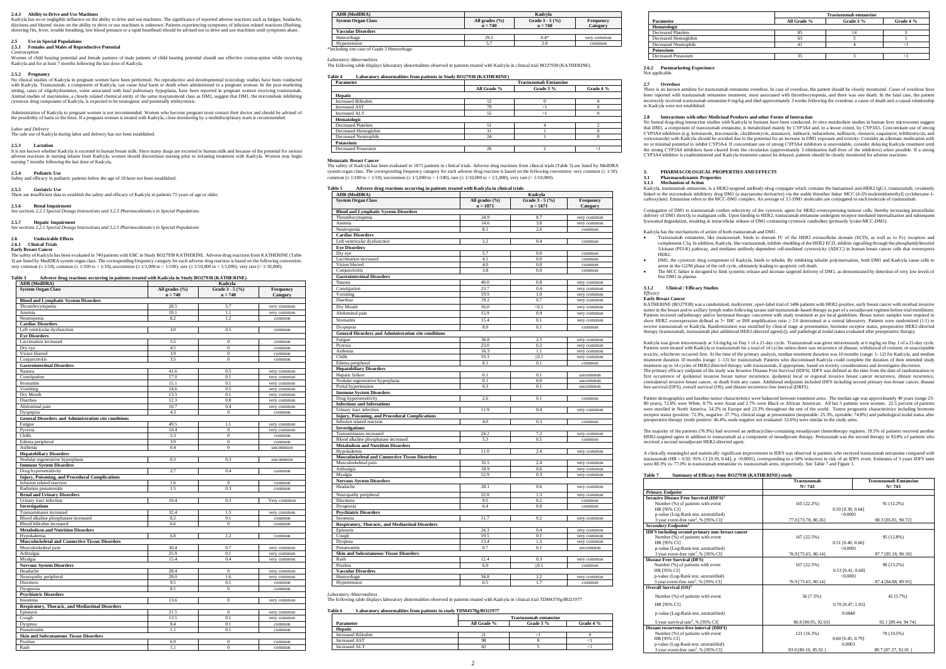### **2.4.3 Ability to Drive and Use Machines**

Kadcyla has no or negligible influence on the ability to drive and use machines. The significance of reported adverse reactions such as fatigue, headache,<br>dizziness and blurred vision on the ability to drive or use machine shivering fits, fever, trouble breathing, low blood pressure or a rapid heartbeat) should be advised not to drive and use machines until symptoms abate.

## **2.5 Use in Special Populations 2.5.1 Females and Males of Reproductive Potential**

*Contraception* Women of child bearing potential and female partners of male patients of child bearing potential should use effective contraception while receiving Kadcyla and for at least 7 months following the last dose of Kadcyla.

## 2.5.2 **Pregnancy**

No clinical studies of Kadcyla in pregnant women have been performed. No reproductive and developmental toxicology studies have been conducted<br>with Kadcyla. Trastuzumab, a component of Kadcyla, can cause fetal harm or deat cytotoxic drug component of Kadcyla, is expected to be teratogenic and potentially embryotoxic.

Administration of Kadcyla to pregnant women is not recommended. Women who become pregnant must contact their doctor and should be advised of<br>the possibility of harm to the fetus. If a pregnant woman is treated with Kadcyla

Labor and Deliver

The safe use of Kadcyla during labor and delivery has not been established.

It is not known whether Kadcyla is excreted in human breast milk. Since many drugs are excreted in human milk and because of the potential for serious<br>adverse reactions in nursing infants from Kadcyla, women should discont nursing 7 months following the last dose of Kadcyla.

The safety of Kadcyla has been evaluated in 740 patients with EBC in Study BO27938 KATHERINE. Adverse drug reactions from KATHERINE (Table 3) are listed by MedDRA system organ class. The corresponding frequency category for each adverse drug reaction is based on the following convention:<br>very common (≥ 1/10), common (≥ 1/100 to < 1/10), uncommon (≥ 1/1,000 t

## **2.5.3 Lactation**

## **2.5.4 Pediatric Use** Safety and efficacy in pediatric patients below the age of 18 have not been established.

## **2.5.5 Geriatric Use**

There are insufficient data to establish the safety and efficacy of Kadcyla in patients 75 years of age or older.

## **2.5.6 Renal Impairment**

*See sections 2.2.1 Special Dosage Instructions and 3.2.5 Pharmacokinetics in Special Populations*

## **2.5.7 Hepatic Impairment**

*See sections 2.2.1 Special Dosage Instructions and 3.2.5 Pharmacokinetics in Special Populations*

**2.6 Undesirable Effects**

#### **2.6.1 Clinical Trials Early Breast Cancer**

The safety of Kadcyla has been evaluated in 1871 patients in clinical trials. Adverse drug reactions from clinical trials (Table 5) are listed by MedDRA system organ class. The corresponding frequency category for each adverse drug reaction is based on the following convention: very com common  $($  > 1/100 to < 1/10), uncommon  $($  > 1/1,000 to < 1/100), rare  $($  > 1/10,000 to < 1/1,000), very rare  $($  < 1/10,000).

## **Table 3 Adverse drug reactions occurring in patients treated with Kadcyla in Study BO27938 (KATHERINE)**

| <b><i><u>rate of a</u></i></b> <i>accuoirs</i> occurring<br>ADR (MedDRA) | in patients treated with readey in bludy BO21250<br>.<br>Kadcyla |                   |             |  |  |  |
|--------------------------------------------------------------------------|------------------------------------------------------------------|-------------------|-------------|--|--|--|
| <b>System Organ Class</b>                                                | All grades $(\% )$                                               | Grade $3 - 5$ (%) | Frequency   |  |  |  |
|                                                                          | $n = 740$                                                        | $n = 740$         | Category    |  |  |  |
|                                                                          |                                                                  |                   |             |  |  |  |
| <b>Blood and Lymphatic System Disorders</b>                              |                                                                  |                   |             |  |  |  |
| Thrombocytopenia                                                         | 28.5                                                             | 5.7               | very common |  |  |  |
| Anemia                                                                   | 10.1                                                             | 1.1               | very common |  |  |  |
| Neutropenia                                                              | 8.2                                                              | 1.2               | common      |  |  |  |
| <b>Cardiac Disorders</b>                                                 |                                                                  |                   |             |  |  |  |
| Left ventricular dysfunction                                             | 3.0                                                              | 0.5               | common      |  |  |  |
| <b>Eye Disorders</b>                                                     |                                                                  |                   |             |  |  |  |
| Lacrimation increased                                                    | 5.5                                                              | $\bf{0}$          | common      |  |  |  |
| Dry eye                                                                  | 4.5                                                              | $\mathbf{0}$      | common      |  |  |  |
| Vision blurred                                                           | 3.9                                                              | $\boldsymbol{0}$  | common      |  |  |  |
| Conjunctivitis                                                           | 3.5                                                              | $\boldsymbol{0}$  | common      |  |  |  |
| <b>Gastrointestinal Disorders</b>                                        |                                                                  |                   |             |  |  |  |
| Nausea                                                                   | 41.6                                                             | 0.5               | very common |  |  |  |
| Constipation                                                             | 17.0                                                             | 0.1               |             |  |  |  |
|                                                                          |                                                                  |                   | very common |  |  |  |
| Stomatitis                                                               | 15.1                                                             | 0.1               | very common |  |  |  |
| Vomiting                                                                 | 14.6                                                             | 0.5               | very common |  |  |  |
| Dry Mouth                                                                | 13.5                                                             | 0.1               | very common |  |  |  |
| Diarrhea                                                                 | 12.3                                                             | 0.8               | very common |  |  |  |
| Abdominal pain                                                           | 10.7                                                             | 0.4               | very common |  |  |  |
| Dyspepsia                                                                | 4.3                                                              | $\mathbf{0}$      | common      |  |  |  |
| <b>General Disorders and Administration site conditions</b>              |                                                                  |                   |             |  |  |  |
| Fatigue                                                                  | 49.5                                                             | 1.1               | very common |  |  |  |
| Pyrexia                                                                  | 10.4                                                             | $\boldsymbol{0}$  | very common |  |  |  |
| Chills                                                                   | 5.3                                                              | $\boldsymbol{0}$  | common      |  |  |  |
| Edema peripheral                                                         | 3.9                                                              | $\boldsymbol{0}$  | common      |  |  |  |
| Asthenia                                                                 | 0.4                                                              | $\mathbf{0}$      | uncommon    |  |  |  |
|                                                                          |                                                                  |                   |             |  |  |  |
| <b>Hepatobiliary Disorders</b>                                           | 0.3                                                              | 0.3               |             |  |  |  |
| Nodular regenerative hyperplasia                                         |                                                                  |                   | uncommon    |  |  |  |
| <b>Immune System Disorders</b>                                           |                                                                  |                   |             |  |  |  |
| Drug hypersensitivity                                                    | 2.7                                                              | 0.4               | common      |  |  |  |
| Injury, Poisoning, and Procedural Complications                          |                                                                  |                   |             |  |  |  |
| Infusion related reaction                                                | 1.6                                                              | $\boldsymbol{0}$  | common      |  |  |  |
| Radiation pneumonitis                                                    | 1.5                                                              | 0.3               | common      |  |  |  |
| <b>Renal and Urinary Disorders</b>                                       |                                                                  |                   |             |  |  |  |
| Urinary tract infection                                                  | 10.4                                                             | 0.3               | Very common |  |  |  |
| <b>Investigations</b>                                                    |                                                                  |                   |             |  |  |  |
| Transaminases increased                                                  | 32.4                                                             | 1.5               | very common |  |  |  |
| Blood alkaline phosphatase increased                                     | 8.2                                                              | 0.1               | common      |  |  |  |
| Blood bilirubin increased                                                | 6.6                                                              | $\overline{0}$    | common      |  |  |  |
| <b>Metabolism and Nutrition Disorders</b>                                |                                                                  |                   |             |  |  |  |
| Hypokalemia                                                              | 6.8                                                              | 1.2               | common      |  |  |  |
| <b>Musculoskeletal and Connective Tissue Disorders</b>                   |                                                                  |                   |             |  |  |  |
|                                                                          |                                                                  |                   |             |  |  |  |
| Musculoskeletal pain                                                     | 30.4                                                             | 0.7               | very common |  |  |  |
| Arthralgia                                                               | 25.9                                                             | 0.1               | very common |  |  |  |
| Myalgia                                                                  | 15.4                                                             | 0.4               | very common |  |  |  |
| <b>Nervous System Disorders</b>                                          |                                                                  |                   |             |  |  |  |
| Headache                                                                 | 28.4                                                             | $\boldsymbol{0}$  | very common |  |  |  |
| Neuropathy peripheral                                                    | 28.0                                                             | 1.6               | very common |  |  |  |
| <b>Dizziness</b>                                                         | 9.5                                                              | 0.1               | common      |  |  |  |
| Dysgeusia                                                                | 8.1                                                              | $\boldsymbol{0}$  | common      |  |  |  |
| <b>Psychiatric Disorders</b>                                             |                                                                  |                   |             |  |  |  |
| Insomnia                                                                 | 13.6                                                             | $\mathbf{0}$      | very common |  |  |  |
| Respiratory, Thoracic, and Mediastinal Disorders                         |                                                                  |                   |             |  |  |  |
| Epistaxis                                                                | 21.5                                                             | $\mathbf{0}$      | very common |  |  |  |
|                                                                          | 13.5                                                             | 0.1               |             |  |  |  |
| Cough                                                                    |                                                                  |                   | very common |  |  |  |
| Dyspnea                                                                  | 8.4                                                              | 0.1               | common      |  |  |  |
| Pneumonitis                                                              | 1.1                                                              | 0.1               | common      |  |  |  |
| <b>Skin and Subcutaneous Tissue Disorders</b>                            |                                                                  |                   |             |  |  |  |
| Pruritus                                                                 | 6.9                                                              | $\mathbf{0}$      | common      |  |  |  |
| Rash                                                                     | 1.1                                                              | $\mathbf{0}$      | common      |  |  |  |

| <b>ADR</b> (MedDRA)                        | Kadcvla            |                  |             |  |
|--------------------------------------------|--------------------|------------------|-------------|--|
| <b>System Organ Class</b>                  | All grades $(\% )$ | Grade $3 - 5(%)$ | Frequency   |  |
|                                            | $n = 740$          | $n = 740$        | Category    |  |
| Vascular Disorders                         |                    |                  |             |  |
| Hemorrhage                                 | 29.2               | $0.4*$           | very common |  |
| Hypertension                               |                    | 2.0              | common      |  |
| *Including one case of Grade 5 Hemorrhage. |                    |                  |             |  |

2.8 Interactions with other Medicinal Products and other Forms of Interaction<br>No formal drug-drug interaction studies with Kadcyla in humans have been conducted. In vitro metabolism studies in human liver microsomes sugges CYP3A4 inhibitors (e.g. ketonazole, itraconazole, clarithromycin, atazanavir, indinavir, nefazodone, nelfinavir, ritonavir, saquinavir, telithromycin, and<br>voriconazole) with Kadcyla should be avoided due to the potential f no or minimal potential to inhibit CYP3A4. If concomitant use of strong CYP3A4 inhibitors is unavoidable, consider delaying Kadcyla treatment until the strong CYP3A4 inhibitors have cleared from the circulation (approximately 3 elimination half-lives of the inhibitors) when possible. If a strong CYP3A4 inhibitor is coadministered and Kadcyla treatment cannot be delayed, patients should be closely monitored for adverse reactions.

Kadcyla, trastuzumab emtansine, is a HER2-targeted antibody-drug conjugate which contains the humanised anti-HER2 IgG1, trastuzumab, covalently linked to the microtubule inhibitory drug DM1 (a maytansine derivative) via the stable thioether linker MCC (4-[N-maleimidomethyl] cyclohexane-1-<br>carboxylate). Emtansine refers to the MCC-DM1 complex. An average of 3.5 DM1

*Laboratory Abnormalities*

The following table displays laboratory abnormalities observed in patients treated with Kadcyla in clinical trial BO27938 (KATHERINE).

Conjugation of DM1 to trastuzumab confers selectivity of the cytotoxic agent for HER2-overexpressing tumour cells, thereby increasing intracellular delivery of DM1 directly to malignant cells. Upon binding to HER2, trastuzumab emtansine undergoes receptor-mediated internalisation and subsequent<br>lysosomal degradation, resulting in intracellular release of DM1-containin

| Parameter                    |             | <b>Trastuzumab Emtansine</b> |           |  |  |  |
|------------------------------|-------------|------------------------------|-----------|--|--|--|
|                              | All Grade % | Grade 3 %                    | Grade 4 % |  |  |  |
| Hepatic                      |             |                              |           |  |  |  |
| <b>Increased Bilirubin</b>   | 12          |                              |           |  |  |  |
| <b>Increased AST</b>         | 79          | -1                           |           |  |  |  |
| <b>Increased ALT</b>         | 55          | <1                           |           |  |  |  |
| Hematologic                  |             |                              |           |  |  |  |
| <b>Decreased Platelets</b>   | 51          |                              |           |  |  |  |
| Decreased Hemoglobin         | 31          |                              |           |  |  |  |
| <b>Decreased Neutrophils</b> | 24          |                              |           |  |  |  |
| Potassium                    |             |                              |           |  |  |  |
| Decreased Potassium          | 26          |                              | <1        |  |  |  |

#### **Metastatic Breast Cancer**

• Trastuzumab emtansine, like trastuzumab, binds to domain IV of the HER2 extracellular domain (ECD), as well as to Fcy receptors and complement C1q. In addition, Kadcyla, like trastuzumab, inhibits shedding of the HER2 EC 3-kinase (PI3-K) pathway, and mediates antibody-dependent cell-mediated cytotoxicity (ADCC) in human breast cancer cells that overexpress

HER2.<br>DMI, the cytotoxic drug component of Kadcyla, binds to tubulin. By inhibiting tubulin polymerisation, both DM1 and Kadcyla cause cells to<br>arrest in the G2/M phase of the cell cycle, ultimately leading to apoptotic ce

KATHERINE (BO27938) was a randomized, multicenter, open-label trial of 1486 patients with HER2-positive, early breast cancer with residual invasive tumor in the breast and/or axillary lymph nodes following taxane and trastuzumab-based therapy as part of a neoadjuvant regimen before trial enrollment. Patients received radiotherapy and/or hormonal therapy concurrent with study treatment as per local guidelines. Breast tumor samples were required to show HER2 overexpression defined as 3+ IHC or ISH amplification ratio ≥ 2.0 determined at a central laboratory. Patients were randomized (1:1) to receive trastuzumab or Kadcyla. Randomization was stratified by clinical stage at presentation, hormone receptor status, preoperative HER2-directed<br>therapy (trastuzumab, trastuzumab plus additional HER2-directed agent[s]),

## **Table 5 Adverse drug reactions occurring in patients treated with Kadcyla in clinical trials**

| <b>ADR</b> (MedDRA)                                         | Kadcyla                      |                               |                       |  |
|-------------------------------------------------------------|------------------------------|-------------------------------|-----------------------|--|
| <b>System Organ Class</b>                                   | All grades (%)<br>$n = 1871$ | Grade 3 - 5 (%)<br>$n = 1871$ | Frequency<br>Category |  |
| <b>Blood and Lymphatic System Disorders</b>                 |                              |                               |                       |  |
| Thrombocytopenia                                            | 24.9                         | 8.7                           | very common           |  |
| Anemia                                                      | 14.6                         | 3.8                           | very common           |  |
| Neutropenia                                                 | 8.1                          | 2.6                           | common                |  |
| <b>Cardiac Disorders</b>                                    |                              |                               |                       |  |
| Left ventricular dysfunction                                | 2.2                          | 0.4                           | common                |  |
| <b>Eve Disorders</b>                                        |                              |                               |                       |  |
| Dry eye                                                     | 5.7                          | 0.0                           | common                |  |
| Lacrimation increased<br>Vision blurred                     | 4.1<br>4.0                   | 0.0<br>0.0                    | common<br>common      |  |
| Conjunctivitis                                              | 3.8                          | 0.0                           | common                |  |
| <b>Gastrointestinal Disorders</b>                           |                              |                               |                       |  |
| Nausea                                                      | 40.0                         | 0.8                           | very common           |  |
| Constipation                                                | 23.7                         | 0.4                           | very common           |  |
| Vomiting                                                    | 19.9                         | 1.0                           | very common           |  |
| Diarrhea                                                    | 19.2                         | 0.7                           | very common           |  |
| Dry Mouth                                                   | 16.0                         | < 0.1                         | very common           |  |
| Abdominal pain                                              | 15.9                         | 0.9                           | very common           |  |
| Stomatitis                                                  | 15.4                         | 0.1                           | very common           |  |
| Dyspepsia                                                   | 8.0                          | 0.1                           | common                |  |
| <b>General Disorders and Administration site conditions</b> |                              |                               |                       |  |
| Fatigue                                                     | 36.8                         | 2.5                           | very common           |  |
| Pyrexia                                                     | 23.0                         | 0.2                           | very common           |  |
| Asthenia                                                    | 16.3                         | 1.1                           | very common           |  |
| Chills                                                      | 10.3                         | $\leq 0.1$                    | very common           |  |
| Edema peripheral                                            | 8.1                          | 0.1                           | common                |  |
| <b>Hepatobiliary Disorders</b>                              |                              |                               |                       |  |
| Hepatic failure                                             | 0.1                          | 0.1                           | uncommon              |  |
| Nodular regenerative hyperplasia                            | 0.1                          | 0.0                           | uncommon              |  |
| Portal hypertension                                         | 0.3                          | 0.1                           | uncommon              |  |
| <b>Immune System Disorders</b><br>Drug hypersensitivity     | 2.6                          | 0.1                           | common                |  |
| <b>Infections and Infestations</b>                          |                              |                               |                       |  |
| Urinary tract infection                                     | 11.9                         | 0.4                           | very common           |  |
| Injury, Poisoning, and Procedural Complications             |                              |                               |                       |  |
| Infusion related reaction                                   | 4.0                          | 0.3                           | common                |  |
| <b>Investigations</b>                                       |                              |                               |                       |  |
| Transaminases increased                                     | 24.2                         | 7.2                           | very common           |  |
| Blood alkaline phosphatase increased                        | 5.3                          | 0.5                           | common                |  |
| <b>Metabolism and Nutrition Disorders</b>                   |                              |                               |                       |  |
| Hypokalemia                                                 | 11.0                         | 2.4                           | very common           |  |
| <b>Musculoskeletal and Connective Tissue Disorders</b>      |                              |                               |                       |  |
| Musculoskeletal pain                                        | 35.5<br>18.9                 | 2.4                           | very common           |  |
| Arthralgia<br>Myalgia                                       | 12.9                         | 0.6<br>0.3                    | very common           |  |
| <b>Nervous System Disorders</b>                             |                              |                               | very common           |  |
| Headache                                                    | 28.1                         | 0.6                           | very common           |  |
|                                                             |                              |                               |                       |  |
| Neuropathy peripheral                                       | 22.8                         | 1.3                           | very common           |  |
| <b>Dizziness</b><br>Dysgeusia                               | 9.5<br>6.4                   | 0.2<br>0.0                    | common                |  |
| <b>Psychiatric Disorders</b>                                |                              |                               | common                |  |
| Insomnia                                                    | 11.7                         | 0.2                           | very common           |  |
| Respiratory, Thoracic, and Mediastinal Disorders            |                              |                               |                       |  |
| Epistaxis                                                   | 24.3                         | 0.4                           | very common           |  |
| Cough                                                       | 19.5                         | 0.1                           | very common           |  |
| Dyspnea                                                     | 13.4                         | 1.5                           | very common           |  |
| Pneumonitis                                                 | 0.7                          | 0.1                           | uncommon              |  |
| <b>Skin and Subcutaneous Tissue Disorders</b>               |                              |                               |                       |  |
| Rash                                                        | 12.4                         | 0.3                           | very common           |  |
| Pruritus                                                    | 6.0                          | $\leq 0.1$                    | common                |  |
| <b>Vascular Disorders</b>                                   |                              |                               |                       |  |
| Hemorrhage                                                  | 34.8                         | 2.2                           | very common           |  |
| Hypertension                                                | 6.5                          | 1.7                           | common                |  |

The majority of the patients (76.9%) had received an anthracycline-containing neoadjuvant chemotherapy regimen. 19.5% of patients received another HER2-target and addition to transmission to transmission to transmission to the second therapy in 93.8% of patients who analyze that therapy. Pertuzumab was the second therapy in 93.8% of patients who HER2-targeted agent in addition to trastuzumab as a received a second neoadjuvant HER2-directed agent.

A clinically meaningful and statistically significant improvement in IDFS was observed in patients who received trastuzumab emtansine compared with trastuzumab (HR = 0.50, 95% CI [0.39, 0.64], p <0.0001), corresponding to a 50% reduction in risk of an IDFS event. Estimates of 3 years IDFS rates<br>were 88.3% vs. 77.0% in trastuzumab emtansine vs. trastuzumab arms, respec

## **Table 7 Summary of Efficac**

## *Laboratory Abnormalities*

The following table displays laboratory abnormalities observed in patients treated with Kadcyla in clinical trial *TDM4370g/BO21977*.

| Table 6              | Laboratory abnormalities from patients in study TDM4370g/BO21977 |                              |           |  |  |
|----------------------|------------------------------------------------------------------|------------------------------|-----------|--|--|
|                      |                                                                  | <b>Trastuzumab emtansine</b> |           |  |  |
| Parameter            | All Grade %                                                      | Grade 3 %                    | Grade 4 % |  |  |
| Hepatic              |                                                                  |                              |           |  |  |
| Increased Bilirubin  |                                                                  |                              |           |  |  |
| <b>Increased AST</b> | 98                                                               |                              |           |  |  |
| Increased ALT        | ٥ź                                                               |                              |           |  |  |

|                              | <b>Trastuzumab emtansine</b>          |  |  |  |  |  |
|------------------------------|---------------------------------------|--|--|--|--|--|
| Parameter                    | Grade 3 %<br>All Grade %<br>Grade 4 % |  |  |  |  |  |
| Hematologic                  |                                       |  |  |  |  |  |
| <b>Decreased Platelets</b>   |                                       |  |  |  |  |  |
| Decreased Hemoglobin         | 63                                    |  |  |  |  |  |
| <b>Decreased Neutrophils</b> | 4                                     |  |  |  |  |  |
| Potassium                    |                                       |  |  |  |  |  |
| Decreased Potassium          |                                       |  |  |  |  |  |

#### **2.6.2 Postmarketing Experience** Not applicable.

## **2.7 Overdose**

There is no known antidote for trastuzumab emtansine overdose. In case of overdose, the patient should be closely monitored. Cases of overdose have been reported with trastuzumab emtansine treatment, most associated with thrombocytopenia, and there was one death. In the fatal case, the patient<br>incorrectly received trastuzumab emtansine 6 mg/kg and died approximately 3 to Kadcyla were not established.

## **3. PHARMACOLOGICAL PROPERTIES AND EFFECTS 3.1 Pharmacodynamic Properties 3.1.1 Mechanism of Action**

## Kadcyla has the mechanisms of action of both trastuzumab and DM1.

The MCC linker is designed to limit systemic release and increase targeted delivery of DM1, as demonstrated by detection of very low levels of

- 
- 
- free DM1 in plasma.

## **3.1.2 Clinical / Efficacy Studies** *Efficacy* **Early Breast Cancer**

Kadcyla was given intravenously at 3.6 mg/kg on Day 1 of a 21-day cycle. Trastuzumab was given intravenously at 6 mg/kg on Day 1 of a 21-day cycle. Patients were treated with Kadcyla or trastuzumab for a total of 14 cycles unless there was recurrence of disease, withdrawal of consent, or unacceptable toxicity, whichever occurred first. At the time of the primary analysis, median treatment duration was 10 months (range: 1–12) for Kadcyla, and median<br>treatment duration 10 months (range: 1–13) for trastuzumab. Patients wh treatment up to 14 cycles of HER2-directed therapy with trastuzumab, if appropriate, based on toxicity considerations and investigator discretion. The primary efficacy endpoint of the study was Invasive Disease Free Survival (IDFS). IDFS was defined as the time from the date of randomization to first occurrence of ipsilateral invasive breast tumor recurrence, ipsilateral local or regional invasive breast cancer recurrence, distant recurrence,<br>contralateral invasive breast cancer, or death from any cause. Addition free survival (DFS), overall survival (OS), and distant recurrence-free interval (DRFI).

Patient demographics and baseline tumor characteristics were balanced between treatment arms. The median age was approximately 49 years (range 23- 80 years), 72.8% were White, 8.7% were Asian and 2.7% were Black or African American. All but 5 patients were women. 22.5 percent of patients were enrolled in North America, 54.2% in Europe and 23.3% throughout the rest of the world. Tumor prognostic characteristics including hormone<br>receptor status (positive: 72.3%, negative: 27.7%), clinical stage at presentat preoperative therapy (node positive: 46.4%, node negative not evaluated: 53.6%) were similar in the study arms.

|                                                           | Trastuzumab<br>$N = 743$ | <b>Trastuzumab Emtansine</b><br>$N = 743$ |
|-----------------------------------------------------------|--------------------------|-------------------------------------------|
| <b>Primary Endpoint</b>                                   |                          |                                           |
| <b>Invasive Disease Free Survival (IDFS)</b> <sup>3</sup> |                          |                                           |
| Number (%) of patients with event                         | 165 (22.2%)              | 91 (12.2%)                                |
| HR [95% CI]                                               |                          | $0.50$ [0.39, 0.64]                       |
| p-value (Log-Rank test, unstratified)                     |                          | <0.0001                                   |
| 3 year event-free rate <sup>2</sup> , % [95% CI]          | 77.0 [73.78, 80.26]      | 88.3 [85.81, 90.72]                       |
| Secondary Endpoints <sup>1</sup>                          |                          |                                           |
| <b>IDFS</b> including second primary non-breast cancer    |                          |                                           |
| Number (%) of patients with event                         | 167(22.5%)               | 95 (12.8%)                                |
| HR [95% CI]                                               |                          | $0.51$ [0.40, 0.66]                       |
| p-value (Log-Rank test, unstratified)                     |                          | <0.0001                                   |
| 3 year event-free rate <sup>2</sup> , % [95% CI]          | 76.9 [73.65, 80.14]      | 87.7 [85.18, 90.18]                       |
| <b>Disease Free Survival (DFS)</b>                        |                          |                                           |
| Number (%) of patients with event                         | 167 (22.5%)              | 98 (13.2%)                                |
| HR [95% CI]                                               |                          | $0.53$ [0.41, 0.68]                       |
| p-value (Log-Rank test, unstratified)                     |                          | < 0.0001                                  |
| 3 year event-free rate <sup>2</sup> , % [95% CI]          | 76.9 [73.65, 80.14]      | 87.4 [84.88, 89.93]                       |
| Overall Survival $(OS)^3$                                 |                          |                                           |
| Number (%) of patients with event                         | 56 (7.5%)                | 42 (5.7%)                                 |
| HR [95% CI]                                               |                          | 0.70 [0.47, 1.05]                         |
| p-value (Log-Rank test, unstratified)                     |                          | 0.0848                                    |
| 5 year survival rate <sup>2</sup> , % [95% CI]            | 86.8 [80.95, 92.63]      | 92.1 [89.44, 94.74]                       |
| Distant recurrence-free interval (DRFI)                   |                          |                                           |
| Number (%) of patients with event                         | 121 (16.3%)              | 78 (10.5%)                                |
| HR [95% CI]                                               |                          | $0.60$ [0.45, 0.79]                       |
| p-value (Log-Rank test, unstratified)                     |                          | 0.0003                                    |
| 3 year event-free rate <sup>2</sup> , % [95% CI]          | 83.0 [80.10, 85.92]      | 89.7 [87.37, 92.01]                       |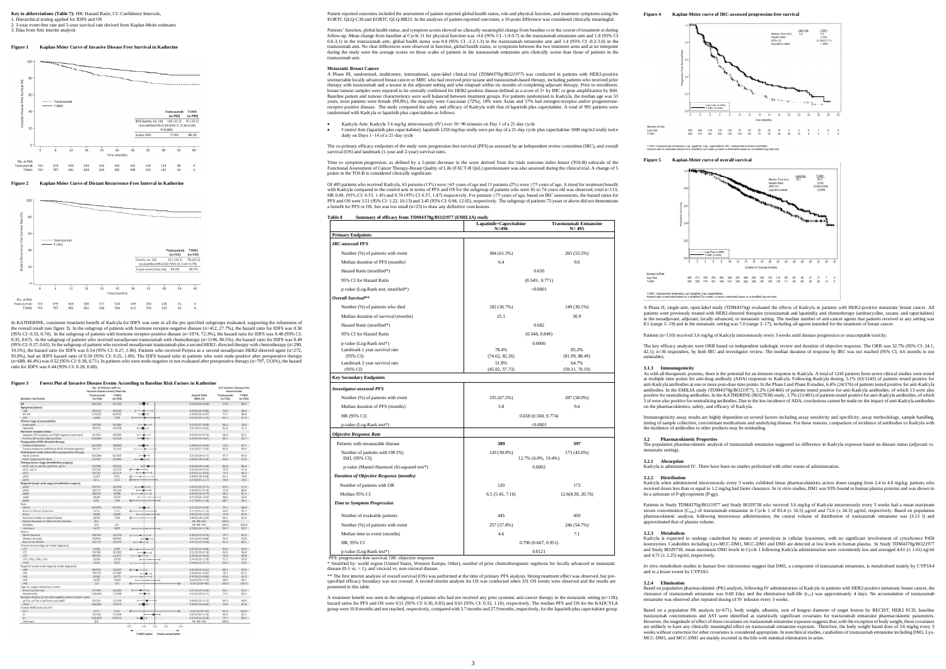## **Key to abbreviations (Table 7):** HR: Hazard Ratio; CI: Confidence Intervals,

1. Hierarchical testing applied for IDFS and OS 2. 3-year event-free rate and 5-year survival rate derived from Kaplan-Meier estimates 3. Data from first interim analysis

## **Figure 1 Kaplan-Meier Curve of Invasive Disease Free Survival in Katherine**



### **Figure 2 Kaplan-Meier Curve of Distant Recurrence-Free Interval in Katherine**



In KATHERINE, consistent treatment benefit of Kadcyla for IDFS was seen in all the pre specified subgroups evaluated, supporting the robustness of<br>the overall result (see figure 3). In the subgroup of patients with hormone  $(95\% \text{ CI: } 0.33, 0.74)$ . In the subgroup of patients with hormone receptor-positive disease (n=1074, 72.3%), the hazard ratio for IDFS was 0.48 (95% CI: 0.35, 0.67). In the subgroup of patients who received neoadjuvant trastuzumab with chemotherapy (n=1196, 80.5%), the hazard ratio for IDFS was 0.49<br>(95% CI: 0.37, 0.65). In the subgroup of patients who received neoadjuvant 93.8%), had an IDFS hazard ratio of 0.50 (95% CI: 0.25, 1.00). The IDFS hazard ratio in patients who were node-positive after preoperative therapy  $(0.689, 46.4\%)$  was 0.52 (95% CI: 0.38, 0.71). In patients who were node-negative or not evaluated after preoperative therapy (n=797, 53.6%), the hazard ratio for IDFS was 0.44 (95% CI: 0.28, 0.68).

## **Forest Plot of Invasive Disease Events According to Baseline Risk Factors in Katherine**

|                                                           | No. of Patients with an<br>Invasive-Disease Event/Total No. |                    |     |                                 | 3-Yr Invasive Disease-free<br><b>Survival Rate</b> |                    |
|-----------------------------------------------------------|-------------------------------------------------------------|--------------------|-----|---------------------------------|----------------------------------------------------|--------------------|
| <b>Baseline risk factors</b>                              | Trastuzumab<br>$(n=743)$                                    | T-DM1<br>$(n=743)$ |     | <b>Hazard Ratio</b><br>(95% CI) | Trastuzumab<br>$(n=743)$                           | T-DM1<br>$(n=743)$ |
| All                                                       | 165/743                                                     | 91/743             | $-$ | $0.50(0.39 - 0.64)$             | 77.0                                               | 88.3               |
| Age group (years)                                         |                                                             |                    |     |                                 |                                                    |                    |
| <40                                                       | 37/153                                                      | 20/143             |     | $0.50(0.29 - 0.86)$             | 74.9                                               | 86.5               |
| $40 - 64$                                                 | 113/522                                                     | 64/542             |     | $0.49(0.36 - 0.67)$             | 77.1                                               | 88.8               |
| 265                                                       | 15/68                                                       | 7/58               |     | $0.55(0.22 - 1.34)$             | 81.1                                               | 87.4               |
| Clinical stage at presentation                            |                                                             |                    |     |                                 |                                                    |                    |
| Inoperable                                                | 70/190                                                      | 42/185             |     | $0.54(0.37 - 0.80)$             | 60.2                                               | 76.0               |
| Operable                                                  | 95/553                                                      | 49/558             |     | $0.47(0.33 - 0.66)$             | 82.8                                               | 92.3               |
| Hormone receptor status                                   |                                                             |                    |     |                                 |                                                    |                    |
| Negative (ER negative and PgR negative/unknown)           | 61/203                                                      | 38/209             |     | $0.50(0.33 - 0.74)$             | 66.6                                               | 82.1               |
| Positive (ER and/or PgR positive)                         | 104/540                                                     | 53/534             |     | $0.48(0.35 - 0.67)$             | 80.7                                               | 90.7               |
| Preoperative HER2-directed therapy                        |                                                             |                    |     |                                 |                                                    |                    |
| Trastuzumab alone                                         | 141/596                                                     | 78/600             |     | $0.49(0.37 - 0.65)$             | 75.9                                               | 87.7               |
| Trastuzumab plus additional HER2-directed agent(s)        | 24/147                                                      | 13/143             |     | $0.54(0.27 - 1.06)$             | 81.8                                               | 90.9               |
| Pathological nodal status after preoperative therapy      |                                                             |                    |     |                                 |                                                    |                    |
|                                                           |                                                             |                    |     |                                 | 67.7                                               | 83.0               |
| Node positive                                             | 103/346                                                     | 62/343             |     | $0.52(0.38 - 0.71)$             |                                                    |                    |
| Node negative/not done                                    | 62/397                                                      | 29/400             |     | $0.44(0.28 - 0.68)$             | 84.6                                               | 92.8               |
| Primary tumor stage (at definitive surgery)               |                                                             |                    |     |                                 |                                                    |                    |
| ypT0, ypT1a, ypT1b, ypT1mic, ypTis                        | 52/306                                                      | 40/331             |     | $0.66(0.44 - 1.00)$             | 83.6                                               | 88.3               |
| ypT1, ypT1c                                               | 42/184                                                      | 14/175             |     | $0.34(0.19 - 0.62)$             | 75.9                                               | 91.9               |
| ypT2                                                      | 44/185                                                      | 25/174             |     | $0.50(0.31 - 0.82)$             | 74.3                                               | 88.3               |
| ypT3                                                      | 21/57                                                       | 9/51               |     | $0.40(0.18 - 0.88)$             | 61.1                                               | 79.8               |
| ypT4                                                      | 6/11                                                        | 3/12               |     | $0.29(0.07 - 1.17)$             | 30.0                                               | 70.0               |
| Regional lymph node stage (at definitive surgery)         |                                                             |                    |     |                                 |                                                    |                    |
| ypN0                                                      | 56/335                                                      | 28/344             |     | $0.46(0.30 - 0.73)$             | 83.9                                               | 91.9               |
| ypN1                                                      | 50/213                                                      | 29/220             |     | $0.49(0.31 - 0.78)$             | 75.8                                               | 88.9               |
| ypN2                                                      | 38/103                                                      | 16/86              |     | $0.43(0.24 - 0.77)$             | 58.2                                               | 81.1               |
| ypN3                                                      | 15/30                                                       | 17/37              |     | $0.71(0.35 - 1.42)$             | 40.6                                               | 52.0               |
| ypNX                                                      | 6/62                                                        | 1/56               |     | $0.17(0.02 - 1.38)$             | 88.7                                               | 98.1               |
| Race                                                      |                                                             |                    |     |                                 |                                                    |                    |
|                                                           | 107/531                                                     | 62/551             |     |                                 |                                                    |                    |
| White                                                     |                                                             |                    |     | $0.51(0.37 - 0.69)$             | 79.1                                               | 88.8               |
| <b>Black or African American</b>                          | 6/19                                                        | 1/21               |     | $0.13(0.02 - 1.10)$             | 66.0                                               | 94.7               |
| Asian                                                     | 18/64                                                       | 13/65              |     | $0.65(0.32 - 1.32)$             | 71.9                                               | 82.5               |
| American Indian or Alaska Native                          | 20/50                                                       | 7/36               | ←   | $0.44(0.18 - 1.03)$             | 60.3                                               | 81.8               |
| Native Hawaiian or Other Pacific Islander                 | 0/1                                                         |                    |     | NE (NE-NE)                      | 100.0                                              |                    |
| Multiple                                                  | 0/1                                                         | 0/1                |     | NE (NE-NE)                      | 100.0                                              | 100.0              |
| Unknown                                                   | 14/77                                                       | 8/69               |     | $0.58(0.24 - 1.38)$             | 80.3                                               | 90.7               |
| Region                                                    |                                                             |                    |     |                                 |                                                    |                    |
| North America                                             | 29/164                                                      | 14/170             |     | $0.40(0.21 - 0.76)$             | 79.7                                               | 93.4               |
| Western Europe                                            | 74/403                                                      | 48/403             |     | $0.61(0.43 - 0.88)$             | 64.6                                               | 83.8               |
| Rest of the World                                         | 62/176                                                      | 29/170             |     | $0.41(0.27 - 0.64)$             | 81.5                                               | 88.1               |
| Primary tumor stage (at initial diagnosis)                |                                                             |                    |     |                                 |                                                    |                    |
| cT1                                                       | 13/81                                                       | 6/99               |     | $0.33(0.13 - 0.88)$             | 83.4                                               | 94.8               |
| cT2                                                       | 70/389                                                      | 36/365             |     | $0.52(0.35 - 0.78)$             | 82.0                                               | 90.4               |
| cT3                                                       | 49/185                                                      | 21/177             |     | $0.38(0.23 - 0.63)$             | 71.0                                               | 89.8               |
| cT4, cT4a, cT4b, cT4c                                     | 20/54                                                       | 19/59              |     | $0.74(0.39 - 1.38)$             | 57.2                                               | 65.8               |
| cT4d                                                      | 13/34                                                       | 9/43               |     | $0.50(0.21 - 1.17)$             | 65.3                                               | 78.6               |
|                                                           |                                                             |                    |     |                                 |                                                    |                    |
| Regional lymph node stage (at initial diagnosis)<br>CNO   | 36/239                                                      |                    |     |                                 | 85.2                                               | 95.9               |
|                                                           |                                                             | 12/237             |     | $0.32(0.17 - 0.61)$             | 78.2                                               | 87.2               |
| cN1                                                       | 79/370                                                      | 53/385             |     | $0.58(0.41 - 0.82)$             |                                                    |                    |
| cN2                                                       | 35/99                                                       | 13/75              |     | $0.42(0.22 - 0.80)$             | 61.6                                               | 81.0               |
| cM3                                                       | 14/33                                                       | 13/43              |     | $0.64(0.30 - 1.35)$             | 48.0                                               | 68.1               |
| cNX                                                       | 1/2                                                         | 0/3                |     | <0.01 (0.00-NE)                 | 100.0                                              | 100.0              |
| Type of surgery of primary tumor                          |                                                             |                    |     |                                 |                                                    |                    |
| Breast-conserving                                         | 47/298                                                      | 20/295             |     | $0.41(0.24 - 0.68)$             | 85.1                                               | 93.2               |
| Mastectomy                                                | 118/445                                                     | 71/448             |     | $0.53(0.39 - 0.71)$             | 71.5                                               | 85.0               |
| Residual disease ≤1 cm with negative axillary lymph nodes |                                                             |                    |     |                                 |                                                    |                    |
| ypT1a, ypT1b or ypT1mic and ypN0                          | 25/161                                                      | 17/170             |     | $0.60(0.33 - 1.12)$             | 85.3                                               | 90.0               |
| Other                                                     | 140/582                                                     | 74/573             |     | $0.48(0.36 - 0.64)$             | 74.6                                               | 87.8               |
| Central HER2 status by IHC                                |                                                             |                    |     |                                 |                                                    |                    |
| $0/1+$                                                    | 2/13                                                        | 0/12               |     | <0.01 (0.00-NE)                 | 83.9                                               | 100.0              |
| $2+$                                                      | 33/168                                                      | 27/158             |     | $0.83(0.50 - 1.38)$             | 80.9                                               | 84.7               |
| $3+$                                                      | 130/559                                                     | 64/573             |     | $0.43(0.32 - 0.58)$             | 75.7                                               | 89.0               |
|                                                           |                                                             |                    |     |                                 |                                                    |                    |
| Unknown                                                   | 0/3                                                         |                    |     | NE (NE-NE)                      | 100.0                                              |                    |

T-DM1 better Trastuzumab better

Patient reported outcomes included the assessment of patient-reported global health status, role and physical function, and treatment symptoms using the EORTC QLQ-C30 and EORTC QLQ-BR23. In the analyses of patient-reported outcomes, a 10-point difference was considered clinically meaningful.

Time to symptom progression, as defined by a 5-point decrease in the score derived from the trials outcome index-breast (TOI-B) subscale of the<br>Functional Assessment of Cancer Therapy-Breast Quality of Life (FACT-B QoL) qu points in the TOI-B is considered clinically significant.

Patients' function, global health status, and symptom scores showed no clinically meaningful change from baseline over the course of treatment or during follow-up. Mean change from baseline at Cycle 11 for physical function was -0.6 (95% CI -1.9-0.7) in the trastuzumab emtansine arm and 1.8 (95% CI 0.6-3.1) in the trastuzumab arm; global health status was 0.4 (95% CI -2.2-1.3) in the trastuzumab emtansine arm and 1.4 (95% CI -0.2-3.0) in the<br>trastuzumab arm. No clear differences were observed in function, global heal during the study were the average scores on those scales of patients in the trastuzumab emtansine arm clinically worse than those of patients in the trastuzumab arm.

Of 495 patients who received Kadcyla, 65 patients (13%) were ≥65 years of age and 11 patients (2%) were ≥75 years of age. A trend for treatment benefit<br>with Kadcyla compared to the control arm in terms of PFS and OS for t a benefit for PFS or OS, but was too small (n=25) to draw any definitive conclusions.

### **Metastatic Breast Cancer**

A Phase III, randomised, multicentre, international, open-label clinical trial (*TDM4370g/BO21977*) was conducted in patients with HER2-positive unresectable locally advanced breast cancer or MBC who had received prior taxane and trastuzumab-based therapy, including patients who received prior<br>therapy with trastuzumab and a taxane in the adjuvant setting and who re years, most patients were female (99.8%), the majority were Caucasian (72%), 18% were Asian and 57% had estrogen-receptor and/or progesterone-<br>receptor positive disease. The study compared the safety and efficacy of Kadcyl randomised with Kadcyla or lapatinib plus capecitabine as follows:

- 
- Kadcyla Arm: Kadcyla 3.6 mg/kg intravenously (IV) over 30–90 minutes on Day 1 of a 21-day cycle<br>Control Arm (lapatinib plus capecitabine): lapatinib 1250 mg/day orally once per day of a 21-day cycle plus capecitabine 1000

The co-primary efficacy endpoints of the study were progression-free survival (PFS) as assessed by an independent review committee (IRC), and overall I (OS) and landmark (1-year and 2-year) survival rates.

\* Stratified by: world region (United States, Western Europe, Other), number of prior chemotherapeutic regimens for locally advanced or metastatic disease (0-1 vs.  $> 1$ ), and visceral vs. non-visceral disease.

\*\* The first interim analysis of overall survival (OS) was performed at the time of primary PFS analysis. Strong treatment effect was observed, but prespecified efficacy boundary was not crossed. A second interim analysis for OS was conducted when 331 OS events were observed and the results are spectrica erreacy bod<br>presented in this table.

A treatment benefit was seen in the subgroup of patients who had not received any prior systemic anti-cancer therapy in the metastatic setting  $(n=118)$ ; hazard ratios for PFS and OS were 0.51 (95% CI: 0.30, 0.85) and 0.61 (95% CI: 0.32, 1.16), respectively. The median PFS and OS for the KADCYLA<br>group were 10.8 months and not reached, respectively, compared with 5.7 months







Lap+Cap

T-DM1; trastuzumab entansine; Lap: lapatinit; Cap: capecitatine.<br>Hazzet ratio is estimated based on a straffed Cox model: pualue is estimated based on a straffed locurank test

The key efficacy analyses were ORR based on independent radiologic review and duration of objective response. The ORR was 32.7% (95% CI: 24.1, 4.1), n=36 responders, by both IRC and investigator review. The median duration

**3.1.3** Immunogenicity<br>As with all therapeutic proteins, there is the potential for an immune response to Kadcyla. A total of 1243 patients from seven clinical studies were tested<br>at multiple time points for anti-drug anti antibodies. In the EMILIA study (TDM4370g/BO21977), 5.2% (24/466) of patients tested positive for anti-Kadcyla antibodies, of which 13 were also<br>positive for neutralizing antibodies. In the KATHERINE (BO27938) study, 3.7% 5 of were also positive for neutralizing antibodies. Due to the low incidence of ADA, conclusions cannot be made on the impact of anti-Kadcyla antibodies on the pharmacokinetics, safety, and efficacy of Kadcyla.

Kadcyla when administered intravenously every 3 weeks exhibited linear pharmacokinetics across doses ranging from 2.4 to 4.8 mg/kg; patients who<br>received doses less than or equal to 1.2 mg/kg had faster clearance. In in vi



Kadcyla is expected to undergo catabolism by means of proteolysis in cellular lysosomes, with no significant involvement of cytochrome P450<br>isoenzymes. Catabolites including Lys-MCC-DM1, MCC-DM1 and DM1 are detected at low and Study BO29738, mean maximum DM1 levels in Cycle 1 following Kadcyla administration were consistently low and averaged 4.61 ( 1.61) ng/ml

*In vitro* metabolism studies in human liver microsomes suggest that DM1, a component of trastuzumab emtansine, is metabolised mainly by CYP3A4

| гаріє о<br>Summary of emeacy from 1DM4370g/BO21977 (EMILIA) study | Lapatinib+Capecitabine<br>$N=496$ | <b>Trastuzumab Emtansine</b><br>$N = 495$ |  |  |
|-------------------------------------------------------------------|-----------------------------------|-------------------------------------------|--|--|
| <b>Primary Endpoints</b>                                          |                                   |                                           |  |  |
| <b>IRC-assessed PFS</b>                                           |                                   |                                           |  |  |
| Number (%) of patients with event                                 | 304 (61.3%)                       | 265 (53.5%)                               |  |  |
| Median duration of PFS (months)                                   | 6.4                               | 9.6                                       |  |  |
| Hazard Ratio (stratified*)                                        |                                   | 0.650                                     |  |  |
| 95% CI for Hazard Ratio                                           |                                   | (0.549, 0.771)                            |  |  |
| p-value (Log-Rank test, stratified*)                              |                                   | < 0.0001                                  |  |  |
| Overall Survival**                                                |                                   |                                           |  |  |
| Number (%) of patients who died                                   | 182 (36.7%)                       | 149 (30.1%)                               |  |  |
| Median duration of survival (months)                              | 25.1                              | 30.9                                      |  |  |
| Hazard Ratio (stratified*)                                        |                                   | 0.682                                     |  |  |
| 95% CI for Hazard Ratio                                           |                                   | (0.548, 0.849)                            |  |  |
| p-value (Log-Rank test*)                                          |                                   | 0.0006                                    |  |  |
| Landmark 1 year survival rate                                     | 78.4%                             | 85.2%                                     |  |  |
| (95% CI)                                                          | (74.62, 82.26)                    | (81.99, 88.49)                            |  |  |
| Landmark 2 year survival rate                                     | 51.8%                             | 64.7%                                     |  |  |
| (95% CI)<br><b>Key Secondary Endpoints</b>                        | (45.92, 57.73)                    | (59.31, 70.19)                            |  |  |
|                                                                   |                                   |                                           |  |  |
| <b>Investigator-assessed PFS</b>                                  |                                   |                                           |  |  |
| Number (%) of patients with event                                 | 335 (67.5%)                       | 287 (58.0%)                               |  |  |
| Median duration of PFS (months)                                   | 5.8                               | 9.4                                       |  |  |
| HR (95% CI)                                                       |                                   | 0.658(0.560, 0.774)                       |  |  |
| p-value (Log-Rank test*)                                          |                                   | < 0.0001                                  |  |  |
| <b>Objective Response Rate</b>                                    |                                   |                                           |  |  |
| Patients with measurable disease                                  | 389                               | 397                                       |  |  |
| Number of patients with OR (%)<br>Diff, (95% CI);                 | 120 (30.8%)                       | 173 (43.6%)<br>12.7% (6.0%, 19.4%)        |  |  |
| p-value (Mantel-Haenszel chi-squared test*)                       |                                   | 0.0002                                    |  |  |
| <b>Duration of Objective Response (months)</b>                    |                                   |                                           |  |  |
| Number of patients with OR                                        | 120                               | 173                                       |  |  |
| Median 95% CI                                                     | 6.5 (5.45, 7.16)                  | 12.6(8.38, 20.76)                         |  |  |
| <b>Time to Symptom Progression</b>                                |                                   |                                           |  |  |
| Number of evaluable patients                                      | 445                               | 450                                       |  |  |
| Number (%) of patients with event                                 | 257 (57.8%)                       | 246 (54.7%)                               |  |  |
| Median time to event (months)                                     | 4.6                               | 7.1                                       |  |  |
| HR, 95% CI                                                        |                                   | 0.796(0.667, 0.951)                       |  |  |
| p-value (Log-Rank test*)                                          | 0.0121                            |                                           |  |  |

Based on a population PK analysis (n=671), body weight, albumin, sum of longest diameter of target lesions by RECIST, HER2 ECD, baseline trastuzumab concentrations and AST were identified as statistically significant covariates for trastuzumab emtansine pharmacokinetic parameters. However, the magnitude of effect of these covariates on trastuzumab emtansine exposure suggests that, with the exception of body weight, these covariates<br>are unlikely to have any clinically meaningful effect on trastuzumab weeks without correction for other covariates is considered appropriate. In nonclinical studies, catabolites of trastuzumab emtansine including DM1, Lys-MCC-DM1, and MCC-DM1 are mainly excreted in the bile with minimal elimination in urine.

PFS: progression-free survival; OR: objective response

T-DM1: trastuzumab emtansine; Lap: lapatinib; Cap: capecitabine; IRC: independent review committee.<br>Hazard ratio is estimated based on a stratified Cox model: pualue is estimated based on a stratified loc-rank tes

## **Figure 5 Kaplan-Meier curve of overall survival**

A Phase II, single-arm, open-label study (TDM4374g) evaluated the effects of Kadcyla in patients with HER2-positive metastatic breast cancer. All patients were previously treated with HER2-directed therapies (trastuzumab and lapatinib), and chemotherapy (anthracycline, taxane, and capecitabine)<br>in the neoadjuvant, adjuvant, locally advanced, or metastatic setting. T 8.5 (range 5–19) and in the metastatic setting was 7.0 (range 3–17), including all agents intended for the treatment of breast cancer.

Patients (n=110) received 3.6 mg/kg of Kadcyla intravenously every 3 weeks until disease progression or unacceptable toxicity.

Immunogenicity assay results are highly dependent on several factors including assay sensitivity and specificity, assay methodology, sample handling, timing of sample collection, concomitant medications and underlying disease. For these reasons, comparison of incidence of antibodies to Kadcyla with the incidence of antibodies to other products may be misleading.

**3.2 Pharmacokinetic Properties** The population pharmacokinetic analysis of trastuzumab emtansine suggested no difference in Kadcyla exposure based on disease status (adjuvant vs. metastatic setting).

**3.2.1 Absorption** Kadcyla is administered IV. There have been no studies performed with other routes of administration.

**3.2.2 Distribution** be a substrate of P-glycoprotein (P-gp).

Patients in Study TDM4370g/BO21977 and Study BO29738 who received 3.6 mg/kg of Kadcyla intravenously every 3 weeks had a mean maximum serum concentration (C<sub>max</sub>) of trastuzumab emtansine in Cycle 1 of 83.4 ( $\pm$  16.5) µg/ml and 72.6 ( $\pm$  24.3) µg/ml, respectively. Based on population pharmacokinetic analysis, following intravenous administration, the approximated that of plasma volume.

**3.2.3 Metabolism**

and 4.71 ( $\pm$  2.25) ng/ml, respectively.

and to a lesser extent by CYP3A5.

## **3.2.4 Elimination**

Based on population pharmacokinetic (PK) analysis, following IV administration of Kadcyla in patients with HER2-positive metastatic breast cancer, the clearance of trastuzumab emtansine was 0.68 *l/day and the elimination half-life*  $(t_{1/2})$  was approximately 4 days. No accumulation of trastuzumab emtansine was observed after repeated dosing of IV infusion every 3 weeks.